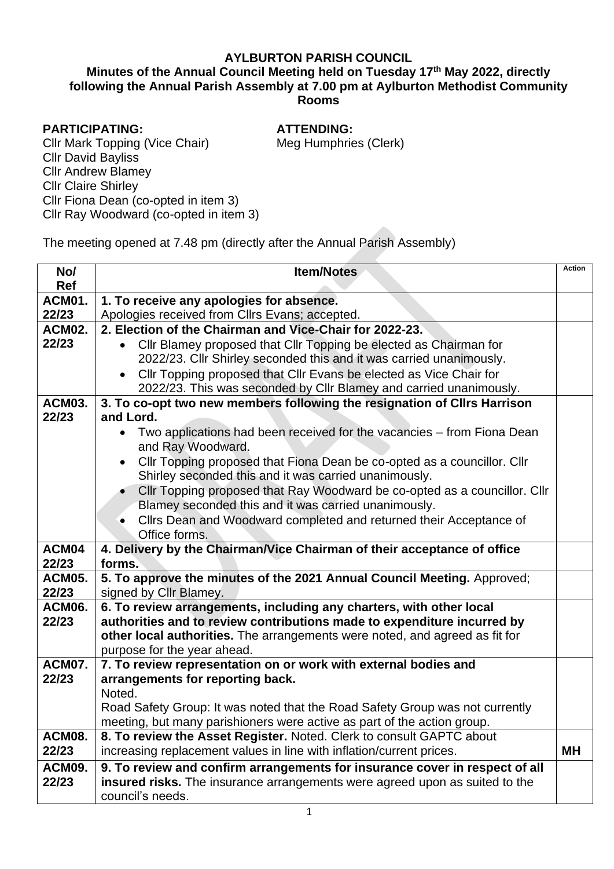## **AYLBURTON PARISH COUNCIL**

## **Minutes of the Annual Council Meeting held on Tuesday 17 th May 2022, directly following the Annual Parish Assembly at 7.00 pm at Aylburton Methodist Community Rooms**

#### **PARTICIPATING:**

#### **ATTENDING:**

Meg Humphries (Clerk)

Cllr Mark Topping (Vice Chair) Cllr David Bayliss Cllr Andrew Blamey Cllr Claire Shirley Cllr Fiona Dean (co-opted in item 3) Cllr Ray Woodward (co-opted in item 3)

The meeting opened at 7.48 pm (directly after the Annual Parish Assembly)

| No/                  | <b>Item/Notes</b>                                                                                                                 | <b>Action</b> |
|----------------------|-----------------------------------------------------------------------------------------------------------------------------------|---------------|
| <b>Ref</b><br>ACM01. |                                                                                                                                   |               |
| 22/23                | 1. To receive any apologies for absence.<br>Apologies received from Cllrs Evans; accepted.                                        |               |
| ACM02.               | 2. Election of the Chairman and Vice-Chair for 2022-23.                                                                           |               |
| 22/23                | Cllr Blamey proposed that Cllr Topping be elected as Chairman for                                                                 |               |
|                      | 2022/23. Cllr Shirley seconded this and it was carried unanimously.                                                               |               |
|                      | Cllr Topping proposed that Cllr Evans be elected as Vice Chair for<br>$\bullet$                                                   |               |
|                      | 2022/23. This was seconded by Cllr Blamey and carried unanimously.                                                                |               |
| <b>ACM03.</b>        | 3. To co-opt two new members following the resignation of Clirs Harrison                                                          |               |
| 22/23                | and Lord.                                                                                                                         |               |
|                      | Two applications had been received for the vacancies - from Fiona Dean<br>$\bullet$                                               |               |
|                      | and Ray Woodward.                                                                                                                 |               |
|                      | Cllr Topping proposed that Fiona Dean be co-opted as a councillor. Cllr<br>$\bullet$                                              |               |
|                      | Shirley seconded this and it was carried unanimously.                                                                             |               |
|                      | Cllr Topping proposed that Ray Woodward be co-opted as a councillor. Cllr<br>Blamey seconded this and it was carried unanimously. |               |
|                      | Clirs Dean and Woodward completed and returned their Acceptance of                                                                |               |
|                      | Office forms.                                                                                                                     |               |
| ACM04                | 4. Delivery by the Chairman/Vice Chairman of their acceptance of office                                                           |               |
| 22/23                | forms.                                                                                                                            |               |
| <b>ACM05.</b>        | 5. To approve the minutes of the 2021 Annual Council Meeting. Approved;                                                           |               |
| 22/23                | signed by Cllr Blamey.                                                                                                            |               |
| ACM06.               | 6. To review arrangements, including any charters, with other local                                                               |               |
| 22/23                | authorities and to review contributions made to expenditure incurred by                                                           |               |
|                      | other local authorities. The arrangements were noted, and agreed as fit for                                                       |               |
| ACM07.               | purpose for the year ahead.<br>7. To review representation on or work with external bodies and                                    |               |
| 22/23                | arrangements for reporting back.                                                                                                  |               |
|                      | Noted.                                                                                                                            |               |
|                      | Road Safety Group: It was noted that the Road Safety Group was not currently                                                      |               |
|                      | meeting, but many parishioners were active as part of the action group.                                                           |               |
| ACM08.               | 8. To review the Asset Register. Noted. Clerk to consult GAPTC about                                                              |               |
| 22/23                | increasing replacement values in line with inflation/current prices.                                                              | MΗ            |
| ACM09.               | 9. To review and confirm arrangements for insurance cover in respect of all                                                       |               |
| 22/23                | insured risks. The insurance arrangements were agreed upon as suited to the                                                       |               |
|                      | council's needs.                                                                                                                  |               |